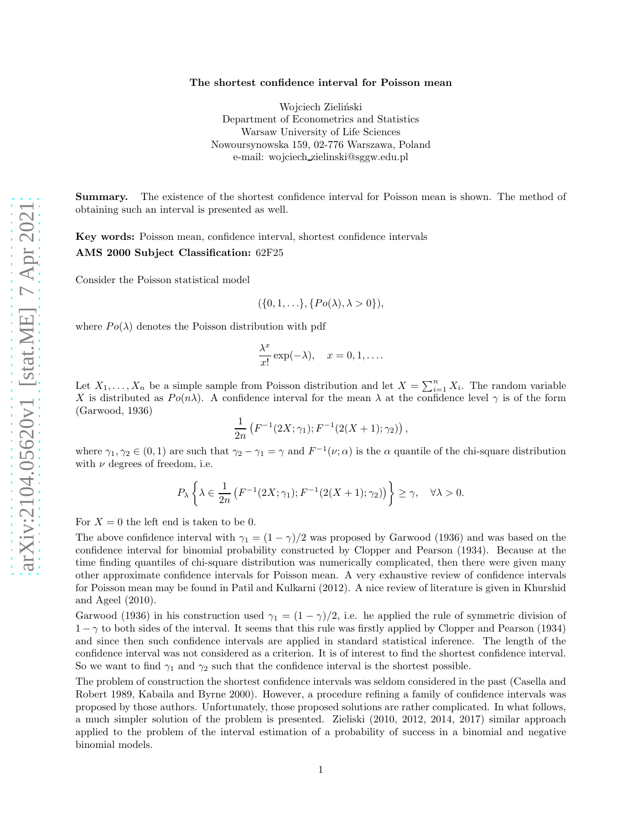## The shortest confidence interval for Poisson mean

Wojciech Zieliński Department of Econometrics and Statistics Warsaw University of Life Sciences Nowoursynowska 159, 02-776 Warszawa, Poland e-mail: wojciech zielinski@sggw.edu.pl

Summary. The existence of the shortest confidence interval for Poisson mean is shown. The method of obtaining such an interval is presented as well.

Key words: Poisson mean, confidence interval, shortest confidence intervals AMS 2000 Subject Classification: 62F25

Consider the Poisson statistical model

$$
(\{0, 1, \ldots\}, \{Po(\lambda), \lambda > 0\}),
$$

where  $Po(\lambda)$  denotes the Poisson distribution with pdf

$$
\frac{\lambda^x}{x!} \exp(-\lambda), \quad x = 0, 1, \dots.
$$

Let  $X_1, \ldots, X_n$  be a simple sample from Poisson distribution and let  $X = \sum_{i=1}^n X_i$ . The random variable X is distributed as  $Po(n\lambda)$ . A confidence interval for the mean  $\lambda$  at the confidence level  $\gamma$  is of the form (Garwood, 1936)

$$
\frac{1}{2n}\left(F^{-1}(2X;\gamma_1);F^{-1}(2(X+1);\gamma_2)\right),\,
$$

where  $\gamma_1, \gamma_2 \in (0, 1)$  are such that  $\gamma_2 - \gamma_1 = \gamma$  and  $F^{-1}(\nu; \alpha)$  is the  $\alpha$  quantile of the chi-square distribution with  $\nu$  degrees of freedom, i.e.

$$
P_{\lambda}\left\{\lambda \in \frac{1}{2n}\left(F^{-1}(2X;\gamma_1); F^{-1}(2(X+1);\gamma_2)\right)\right\} \ge \gamma, \quad \forall \lambda > 0.
$$

For  $X = 0$  the left end is taken to be 0.

The above confidence interval with  $\gamma_1 = (1 - \gamma)/2$  was proposed by Garwood (1936) and was based on the confidence interval for binomial probability constructed by Clopper and Pearson (1934). Because at the time finding quantiles of chi-square distribution was numerically complicated, then there were given many other approximate confidence intervals for Poisson mean. A very exhaustive review of confidence intervals for Poisson mean may be found in Patil and Kulkarni (2012). A nice review of literature is given in Khurshid and Ageel (2010).

Garwood (1936) in his construction used  $\gamma_1 = (1 - \gamma)/2$ , i.e. he applied the rule of symmetric division of  $1 - \gamma$  to both sides of the interval. It seems that this rule was firstly applied by Clopper and Pearson (1934) and since then such confidence intervals are applied in standard statistical inference. The length of the confidence interval was not considered as a criterion. It is of interest to find the shortest confidence interval. So we want to find  $\gamma_1$  and  $\gamma_2$  such that the confidence interval is the shortest possible.

The problem of construction the shortest confidence intervals was seldom considered in the past (Casella and Robert 1989, Kabaila and Byrne 2000). However, a procedure refining a family of confidence intervals was proposed by those authors. Unfortunately, those proposed solutions are rather complicated. In what follows, a much simpler solution of the problem is presented. Zieliski (2010, 2012, 2014, 2017) similar approach applied to the problem of the interval estimation of a probability of success in a binomial and negative binomial models.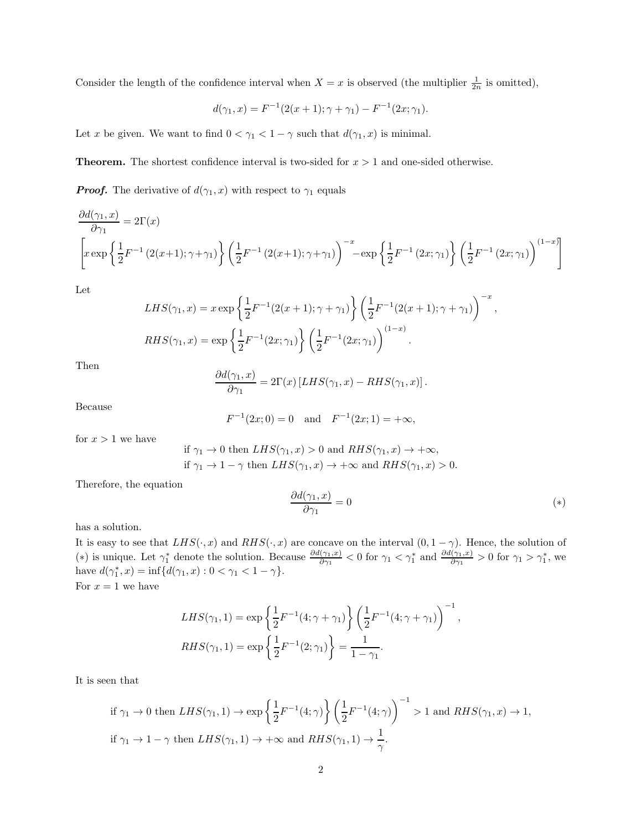Consider the length of the confidence interval when  $X = x$  is observed (the multiplier  $\frac{1}{2n}$  is omitted),

$$
d(\gamma_1, x) = F^{-1}(2(x+1); \gamma + \gamma_1) - F^{-1}(2x; \gamma_1).
$$

Let x be given. We want to find  $0 < \gamma_1 < 1 - \gamma$  such that  $d(\gamma_1, x)$  is minimal.

**Theorem.** The shortest confidence interval is two-sided for  $x > 1$  and one-sided otherwise.

*Proof.* The derivative of  $d(\gamma_1, x)$  with respect to  $\gamma_1$  equals

$$
\frac{\partial d(\gamma_1, x)}{\partial \gamma_1} = 2\Gamma(x)
$$
\n
$$
\left[ x \exp\left\{ \frac{1}{2} F^{-1} \left( 2(x+1); \gamma + \gamma_1 \right) \right\} \left( \frac{1}{2} F^{-1} \left( 2(x+1); \gamma + \gamma_1 \right) \right)^{-x} - \exp\left\{ \frac{1}{2} F^{-1} \left( 2x; \gamma_1 \right) \right\} \left( \frac{1}{2} F^{-1} \left( 2x; \gamma_1 \right) \right)^{(1-x)} \right]
$$

Let

$$
LHS(\gamma_1, x) = x \exp \left\{ \frac{1}{2} F^{-1}(2(x+1); \gamma + \gamma_1) \right\} \left( \frac{1}{2} F^{-1}(2(x+1); \gamma + \gamma_1) \right)^{-x}
$$
  
\n
$$
RHS(\gamma_1, x) = \exp \left\{ \frac{1}{2} F^{-1}(2x; \gamma_1) \right\} \left( \frac{1}{2} F^{-1}(2x; \gamma_1) \right)^{(1-x)}.
$$

Then

$$
\frac{\partial d(\gamma_1, x)}{\partial \gamma_1} = 2\Gamma(x) \left[ LHS(\gamma_1, x) - RHS(\gamma_1, x) \right].
$$

Because

$$
F^{-1}(2x; 0) = 0
$$
 and  $F^{-1}(2x; 1) = +\infty$ ,

for  $x > 1$  we have

if 
$$
\gamma_1 \to 0
$$
 then  $LHS(\gamma_1, x) > 0$  and  $RHS(\gamma_1, x) \to +\infty$ ,  
if  $\gamma_1 \to 1 - \gamma$  then  $LHS(\gamma_1, x) \to +\infty$  and  $RHS(\gamma_1, x) > 0$ .

Therefore, the equation

$$
\frac{\partial d(\gamma_1, x)}{\partial \gamma_1} = 0 \tag{*}
$$

,

has a solution.

It is easy to see that  $LHS(\cdot, x)$  and  $RHS(\cdot, x)$  are concave on the interval  $(0, 1 - \gamma)$ . Hence, the solution of (\*) is unique. Let  $\gamma_1^*$  denote the solution. Because  $\frac{\partial d(\gamma_1, x)}{\partial \gamma_1} < 0$  for  $\gamma_1 < \gamma_1^*$  and  $\frac{\partial d(\gamma_1, x)}{\partial \gamma_1} > 0$  for  $\gamma_1 > \gamma_1^*$ , we have  $d(\gamma_1^*, x) = \inf\{d(\gamma_1, x) : 0 < \gamma_1 < 1 - \gamma\}.$ For  $x = 1$  we have

$$
LHS(\gamma_1, 1) = \exp\left\{\frac{1}{2}F^{-1}(4; \gamma + \gamma_1)\right\} \left(\frac{1}{2}F^{-1}(4; \gamma + \gamma_1)\right)^{-1},
$$
  

$$
RHS(\gamma_1, 1) = \exp\left\{\frac{1}{2}F^{-1}(2; \gamma_1)\right\} = \frac{1}{1 - \gamma_1}.
$$

It is seen that

if 
$$
\gamma_1 \to 0
$$
 then  $LHS(\gamma_1, 1) \to \exp\left\{\frac{1}{2}F^{-1}(4; \gamma)\right\} \left(\frac{1}{2}F^{-1}(4; \gamma)\right)^{-1} > 1$  and  $RHS(\gamma_1, x) \to 1$ ,  
if  $\gamma_1 \to 1 - \gamma$  then  $LHS(\gamma_1, 1) \to +\infty$  and  $RHS(\gamma_1, 1) \to \frac{1}{\gamma}$ .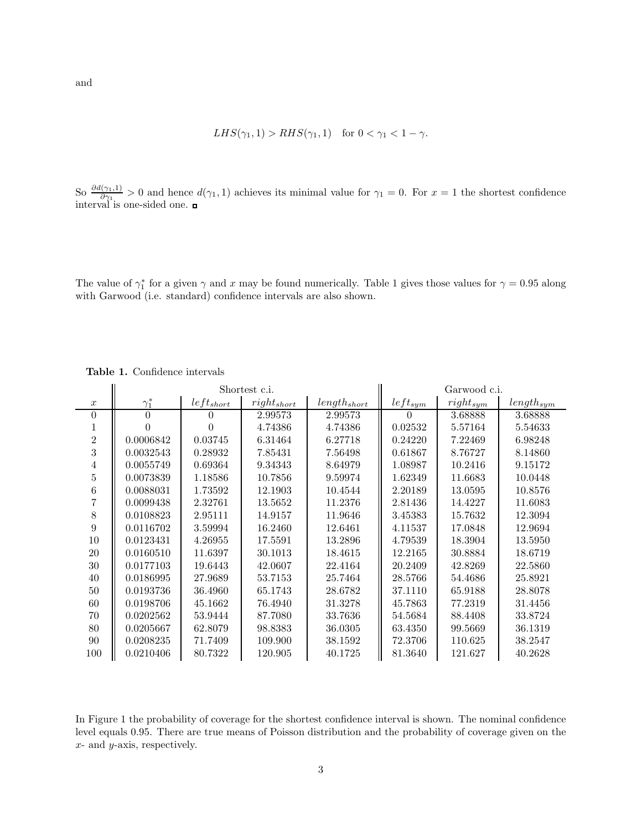$$
LHS(\gamma_1, 1) > RHS(\gamma_1, 1) \quad \text{for } 0 < \gamma_1 < 1 - \gamma.
$$

So  $\frac{\partial d(\gamma_1,1)}{\partial \gamma_1} > 0$  and hence  $d(\gamma_1,1)$  achieves its minimal value for  $\gamma_1 = 0$ . For  $x = 1$  the shortest confidence interval is one-sided one.

The value of  $\gamma_1^*$  for a given  $\gamma$  and x may be found numerically. Table 1 gives those values for  $\gamma = 0.95$  along with Garwood (i.e. standard) confidence intervals are also shown.

|                  | Shortest c.i. |         |                 |                  | Garwood c.i. |               |                |
|------------------|---------------|---------|-----------------|------------------|--------------|---------------|----------------|
| $\boldsymbol{x}$ | $\gamma_1^*$  | left<   | $right_{short}$ | $length_{short}$ | $left_{sym}$ | $right_{sym}$ | $length_{sym}$ |
| $\theta$         | $\Omega$      |         | 2.99573         | 2.99573          |              | 3.68888       | 3.68888        |
|                  |               |         | 4.74386         | 4.74386          | 0.02532      | 5.57164       | 5.54633        |
| $\overline{2}$   | 0.0006842     | 0.03745 | 6.31464         | 6.27718          | 0.24220      | 7.22469       | 6.98248        |
| 3                | 0.0032543     | 0.28932 | 7.85431         | 7.56498          | 0.61867      | 8.76727       | 8.14860        |
| 4                | 0.0055749     | 0.69364 | 9.34343         | 8.64979          | 1.08987      | 10.2416       | 9.15172        |
| 5                | 0.0073839     | 1.18586 | 10.7856         | 9.59974          | 1.62349      | 11.6683       | 10.0448        |
| 6                | 0.0088031     | 1.73592 | 12.1903         | 10.4544          | 2.20189      | 13.0595       | 10.8576        |
|                  | 0.0099438     | 2.32761 | 13.5652         | 11.2376          | 2.81436      | 14.4227       | 11.6083        |
| 8                | 0.0108823     | 2.95111 | 14.9157         | 11.9646          | 3.45383      | 15.7632       | 12.3094        |
| 9                | 0.0116702     | 3.59994 | 16.2460         | 12.6461          | 4.11537      | 17.0848       | 12.9694        |
| 10               | 0.0123431     | 4.26955 | 17.5591         | 13.2896          | 4.79539      | 18.3904       | 13.5950        |
| 20               | 0.0160510     | 11.6397 | 30.1013         | 18.4615          | 12.2165      | 30.8884       | 18.6719        |
| 30               | 0.0177103     | 19.6443 | 42.0607         | 22.4164          | 20.2409      | 42.8269       | 22.5860        |
| 40               | 0.0186995     | 27.9689 | 53.7153         | 25.7464          | 28.5766      | 54.4686       | 25.8921        |
| 50               | 0.0193736     | 36.4960 | 65.1743         | 28.6782          | 37.1110      | 65.9188       | 28.8078        |
| 60               | 0.0198706     | 45.1662 | 76.4940         | 31.3278          | 45.7863      | 77.2319       | 31.4456        |
| 70               | 0.0202562     | 53.9444 | 87.7080         | 33.7636          | 54.5684      | 88.4408       | 33.8724        |
| 80               | 0.0205667     | 62.8079 | 98.8383         | 36.0305          | 63.4350      | 99.5669       | 36.1319        |
| 90               | 0.0208235     | 71.7409 | 109.900         | 38.1592          | 72.3706      | 110.625       | 38.2547        |
| 100              | 0.0210406     | 80.7322 | 120.905         | 40.1725          | 81.3640      | 121.627       | 40.2628        |

Table 1. Confidence intervals

In Figure 1 the probability of coverage for the shortest confidence interval is shown. The nominal confidence level equals 0.95. There are true means of Poisson distribution and the probability of coverage given on the  $x$ - and  $y$ -axis, respectively.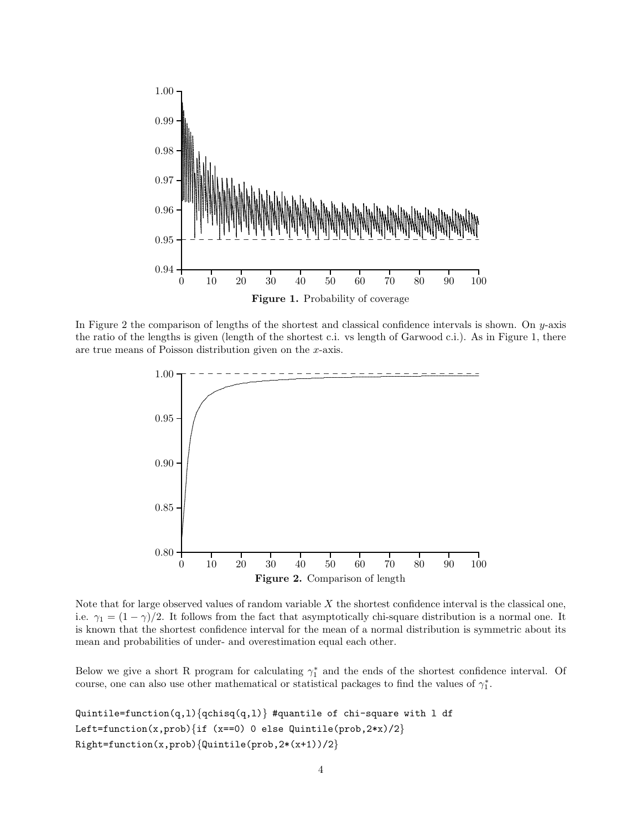

In Figure 2 the comparison of lengths of the shortest and classical confidence intervals is shown. On  $y$ -axis the ratio of the lengths is given (length of the shortest c.i. vs length of Garwood c.i.). As in Figure 1, there are true means of Poisson distribution given on the  $x$ -axis.



Note that for large observed values of random variable  $X$  the shortest confidence interval is the classical one, i.e.  $\gamma_1 = (1 - \gamma)/2$ . It follows from the fact that asymptotically chi-square distribution is a normal one. It is known that the shortest confidence interval for the mean of a normal distribution is symmetric about its mean and probabilities of under- and overestimation equal each other.

Below we give a short R program for calculating  $\gamma_1^*$  and the ends of the shortest confidence interval. Of course, one can also use other mathematical or statistical packages to find the values of  $\gamma_1^*$ .

```
Quintile = function(q,1){qchisq(q,1)} #quantile of chi-square with 1 df
Left=function(x,prob){if (x==0) 0 else Quintile(prob, 2*x)/2}
Right=function(x,prob){Quintile(prob, 2*(x+1)/2}
```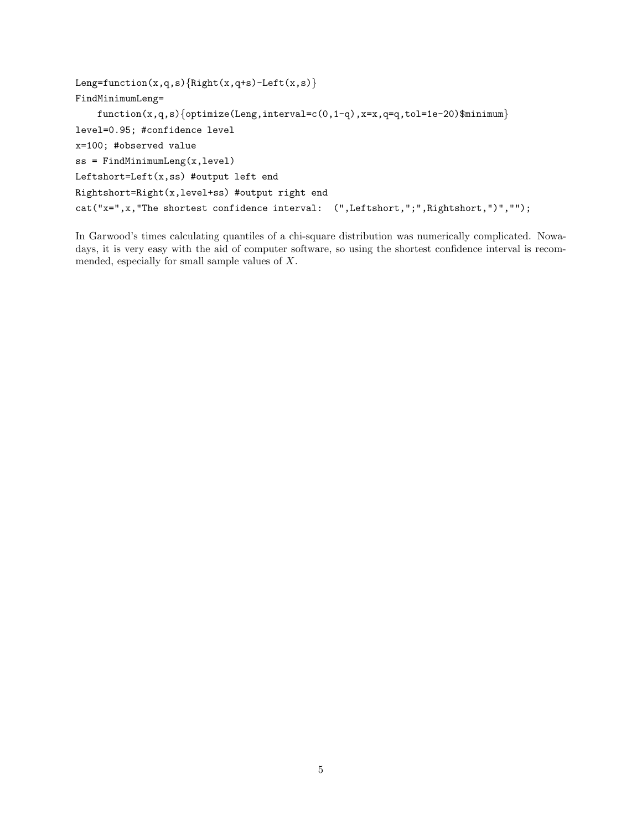```
Leng=function(x,q,s){Right(x,q+s)-Left(x,s)}
FindMinimumLeng=
    function(x,q,s)\{optimize(Long,interval=c(0,1-q),x=x,q=q,tol=1e-20)\$minimum\}level=0.95; #confidence level
x=100; #observed value
ss = FindMinimumLeng(x,level)
Leftshort=Left(x,ss) #output left end
Rightshort=Right(x,level+ss) #output right end
cat("x=",x,"The shortest confidence interval: (",Leftshort,";",Rightshort,")","");
```
In Garwood's times calculating quantiles of a chi-square distribution was numerically complicated. Nowadays, it is very easy with the aid of computer software, so using the shortest confidence interval is recommended, especially for small sample values of X.